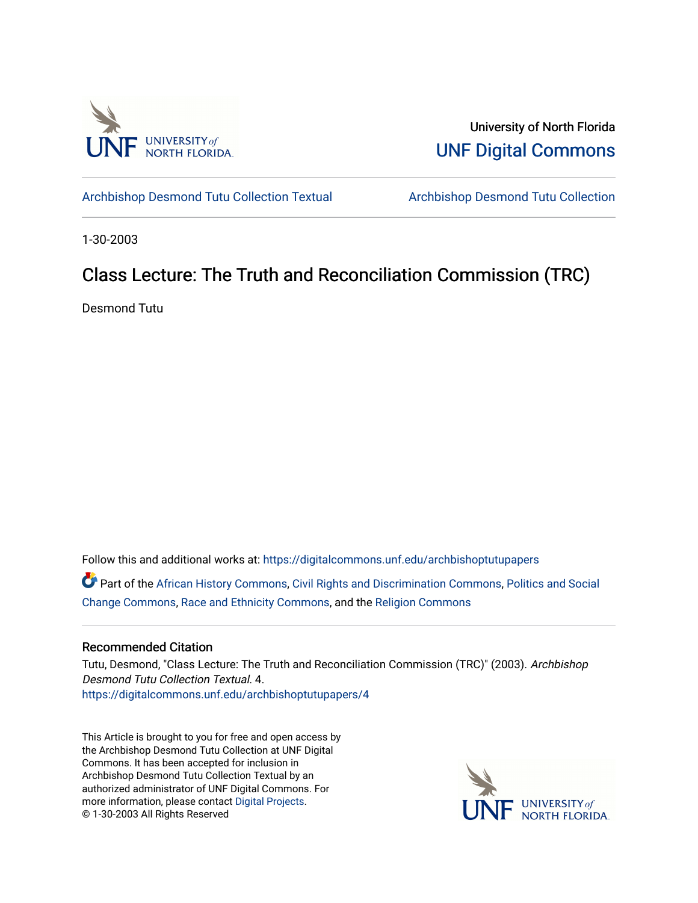

University of North Florida [UNF Digital Commons](https://digitalcommons.unf.edu/) 

[Archbishop Desmond Tutu Collection Textual](https://digitalcommons.unf.edu/archbishoptutupapers) [Archbishop Desmond Tutu Collection](https://digitalcommons.unf.edu/archbishoptutu) 

1-30-2003

# Class Lecture: The Truth and Reconciliation Commission (TRC)

Desmond Tutu

Follow this and additional works at: [https://digitalcommons.unf.edu/archbishoptutupapers](https://digitalcommons.unf.edu/archbishoptutupapers?utm_source=digitalcommons.unf.edu%2Farchbishoptutupapers%2F4&utm_medium=PDF&utm_campaign=PDFCoverPages)

Part of the [African History Commons](http://network.bepress.com/hgg/discipline/490?utm_source=digitalcommons.unf.edu%2Farchbishoptutupapers%2F4&utm_medium=PDF&utm_campaign=PDFCoverPages), [Civil Rights and Discrimination Commons](http://network.bepress.com/hgg/discipline/585?utm_source=digitalcommons.unf.edu%2Farchbishoptutupapers%2F4&utm_medium=PDF&utm_campaign=PDFCoverPages), [Politics and Social](http://network.bepress.com/hgg/discipline/425?utm_source=digitalcommons.unf.edu%2Farchbishoptutupapers%2F4&utm_medium=PDF&utm_campaign=PDFCoverPages) [Change Commons](http://network.bepress.com/hgg/discipline/425?utm_source=digitalcommons.unf.edu%2Farchbishoptutupapers%2F4&utm_medium=PDF&utm_campaign=PDFCoverPages), [Race and Ethnicity Commons](http://network.bepress.com/hgg/discipline/426?utm_source=digitalcommons.unf.edu%2Farchbishoptutupapers%2F4&utm_medium=PDF&utm_campaign=PDFCoverPages), and the [Religion Commons](http://network.bepress.com/hgg/discipline/538?utm_source=digitalcommons.unf.edu%2Farchbishoptutupapers%2F4&utm_medium=PDF&utm_campaign=PDFCoverPages)

## Recommended Citation

Tutu, Desmond, "Class Lecture: The Truth and Reconciliation Commission (TRC)" (2003). Archbishop Desmond Tutu Collection Textual. 4. [https://digitalcommons.unf.edu/archbishoptutupapers/4](https://digitalcommons.unf.edu/archbishoptutupapers/4?utm_source=digitalcommons.unf.edu%2Farchbishoptutupapers%2F4&utm_medium=PDF&utm_campaign=PDFCoverPages) 

This Article is brought to you for free and open access by the Archbishop Desmond Tutu Collection at UNF Digital Commons. It has been accepted for inclusion in Archbishop Desmond Tutu Collection Textual by an authorized administrator of UNF Digital Commons. For more information, please contact [Digital Projects](mailto:lib-digital@unf.edu). © 1-30-2003 All Rights Reserved

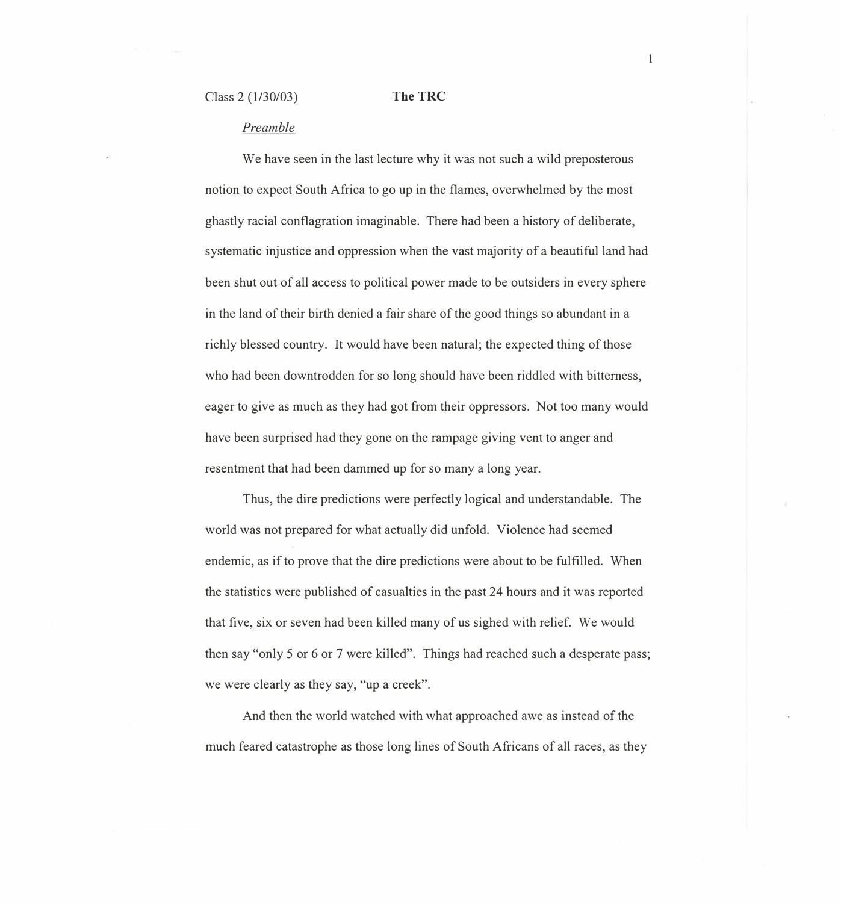## **The TRC**

### *Preamble*

We have seen in the last lecture why it was not such a wild preposterous notion to expect South Africa to go up in the flames, overwhelmed by the most ghastly racial conflagration imaginable. There had been a history of deliberate, systematic injustice and oppression when the vast majority of a beautiful land had been shut out of all access to political power made to be outsiders in every sphere in the land of their birth denied a fair share of the good things so abundant in a richly blessed country. It would have been natural; the expected thing of those who had been downtrodden for so long should have been riddled with bitterness, eager to give as much as they had got from their oppressors. Not too many would have been surprised had they gone on the rampage giving vent to anger and resentment that had been dammed up for so many a long year.

Thus, the dire predictions were perfectly logical and understandable. The world was not prepared for what actually did unfold. Violence had seemed endemic, as if to prove that the dire predictions were about to be fulfilled. When the statistics were published of casualties in the past 24 hours and it was reported that five, six or seven had been killed many of us sighed with relief. We would then say "only 5 or 6 or 7 were killed". Things had reached such a desperate pass; we were clearly as they say, "up a creek".

And then the world watched with what approached awe as instead of the much feared catastrophe as those long lines of South Africans of all races, as they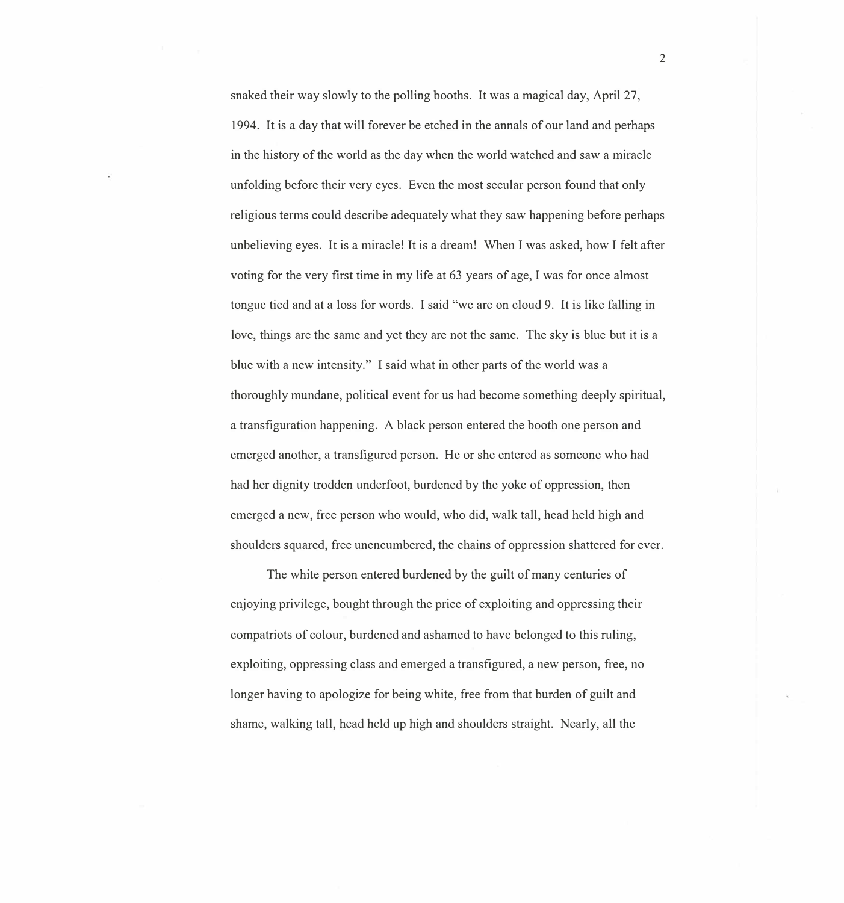snaked their way slowly to the polling booths. It was a magical day, April 27, 1994. It is a day that will forever be etched in the annals of our land and perhaps in the history of the world as the day when the world watched and saw a miracle unfolding before their very eyes. Even the most secular person found that only religious terms could describe adequately what they saw happening before perhaps unbelieving eyes. It is a miracle! It is a dream! When I was asked, how I felt after voting for the very first time in my life at 63 years of age, I was for once almost tongue tied and at a loss for words. I said "we are on cloud 9. It is like falling in love, things are the same and yet they are not the same. The sky is blue but it is a blue with a new intensity." I said what in other parts of the world was a thoroughly mundane, political event for us had become something deeply spiritual, a transfiguration happening. A black person entered the booth one person and emerged another, a transfigured person. He or she entered as someone who had had her dignity trodden underfoot, burdened by the yoke of oppression, then emerged a new, free person who would, who did, walk tall, head held high and shoulders squared, free unencumbered, the chains of oppression shattered for ever.

The white person entered burdened by the guilt of many centuries of enjoying privilege, bought through the price of exploiting and oppressing their compatriots of colour, burdened and ashamed to have belonged to this ruling, exploiting, oppressing class and emerged a transfigured, a new person, free, no longer having to apologize for being white, free from that burden of guilt and shame, walking tall, head held up high and shoulders straight. Nearly, all the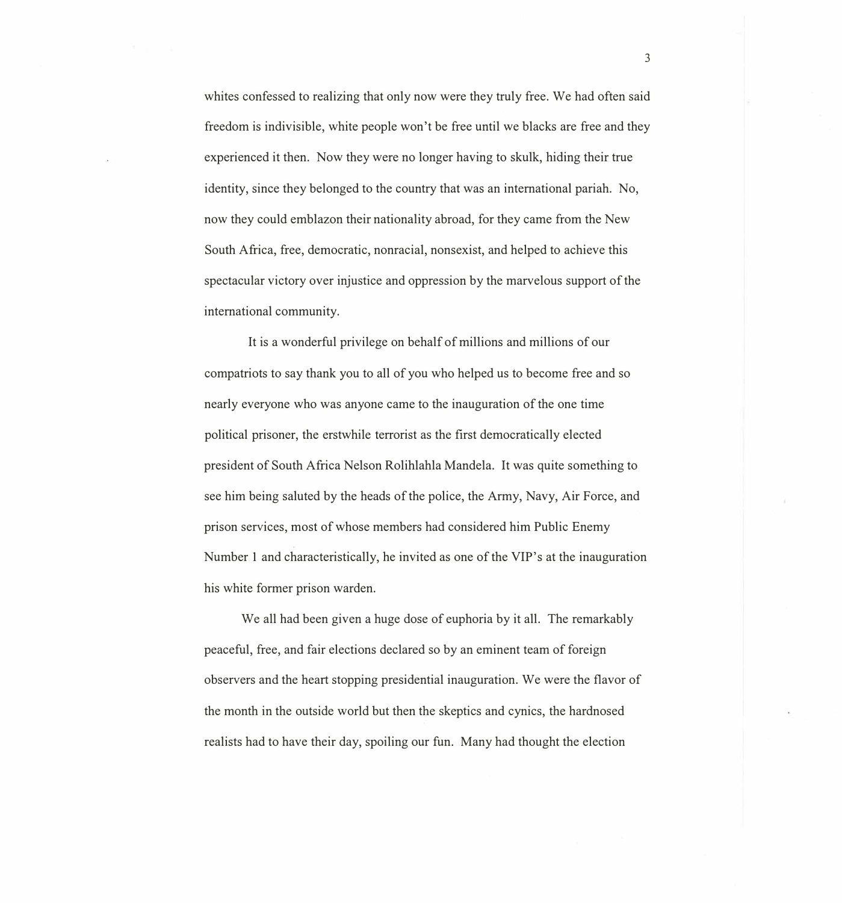whites confessed to realizing that only now were they truly free. We had often said freedom is indivisible, white people won't be free until we blacks are free and they experienced it then. Now they were no longer having to skulk, hiding their true identity, since they belonged to the country that was an international pariah. No, now they could emblazon their nationality abroad, for they came from the New South Africa, free, democratic, nonracial, nonsexist, and helped to achieve this spectacular victory over injustice and oppression by the marvelous support of the international community.

It is a wonderful privilege on behalf of millions and millions of our compatriots to say thank you to all of you who helped us to become free and so nearly everyone who was anyone came to the inauguration of the one time political prisoner, the erstwhile terrorist as the first democratically elected president of South Africa Nelson Rolihlahla Mandela. It was quite something to see him being saluted by the heads of the police, the Army, Navy, Air Force, and prison services, most of whose members had considered him Public Enemy Number 1 and characteristically, he invited as one of the VIP's at the inauguration his white former prison warden.

We all had been given a huge dose of euphoria by it all. The remarkably peaceful, free, and fair elections declared so by an eminent team of foreign observers and the heart stopping presidential inauguration. We were the flavor of the month in the outside world but then the skeptics and cynics, the hardnosed realists had to have their day, spoiling our fun. Many had thought the election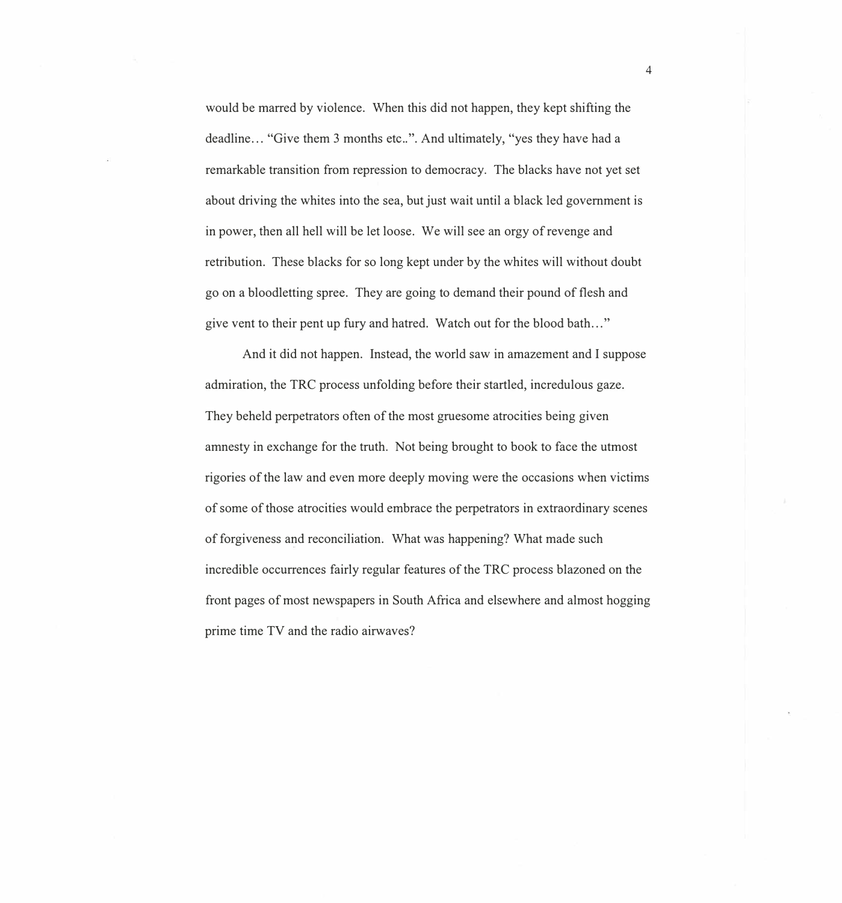would be marred by violence. When this did not happen, they kept shifting the deadline... "Give them 3 months etc..". And ultimately, "yes they have had a remarkable transition from repression to democracy. The blacks have not yet set about driving the whites into the sea, but just wait until a black led government is in power, then all hell will be let loose. We will see an orgy of revenge and retribution. These blacks for so long kept under by the whites will without doubt go on a bloodletting spree. They are going to demand their pound of flesh and give vent to their pent up fury and hatred. Watch out for the blood bath ... "

And it did not happen. Instead, the world saw in amazement and I suppose admiration, the TRC process unfolding before their startled, incredulous gaze. They beheld perpetrators often of the most gruesome atrocities being given amnesty in exchange for the truth. Not being brought to book to face the utmost rigories of the law and even more deeply moving were the occasions when victims of some of those atrocities would embrace the perpetrators in extraordinary scenes of forgiveness and reconciliation. What was happening? What made such incredible occurrences fairly regular features of the TRC process blazoned on the front pages of most newspapers in South Africa and elsewhere and almost hogging prime time TV and the radio airwaves?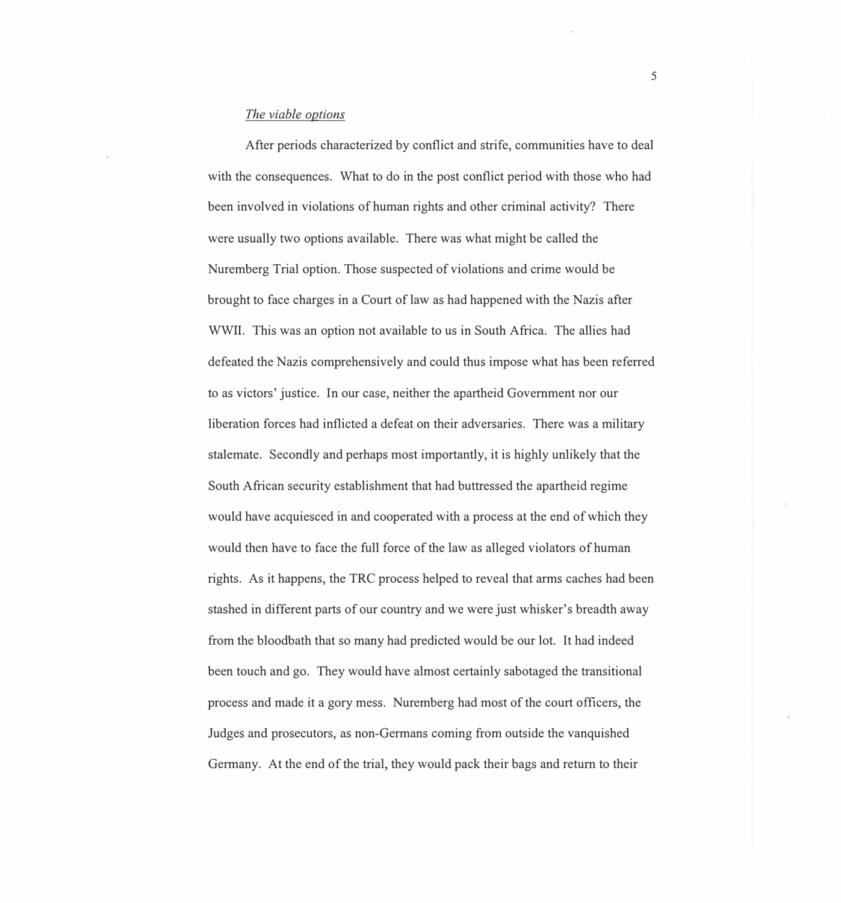### *The viable options*

After periods characterized by conflict and strife, communities have to deal with the consequences. What to do in the post conflict period with those who had been involved in violations of human rights and other criminal activity? There were usually two options available. There was what might be called the Nuremberg Trial option. Those suspected of violations and crime would be brought to face charges in a Court of law as had happened with the Nazis after WWII. This was an option not available to us in South Africa. The allies had defeated the Nazis comprehensively and could thus impose what has been referred to as victors' justice. In our case, neither the apartheid Government nor our liberation forces had inflicted a defeat on their adversaries. There was a military stalemate. Secondly and perhaps most importantly, it is highly unlikely that the South African security establishment that had buttressed the apartheid regime would have acquiesced in and cooperated with a process at the end of which they would then have to face the full force of the law as alleged violators of human rights. As it happens, the TRC process helped to reveal that arms caches had been stashed in different parts of our country and we were just whisker's breadth away from the bloodbath that so many had predicted would be our lot. It had indeed been touch and go. They would have almost certainly sabotaged the transitional process and made it a gory mess. Nuremberg had most of the court officers, the Judges and prosecutors, as non-Germans coming from outside the vanquished Germany. At the end of the trial, they would pack their bags and return to their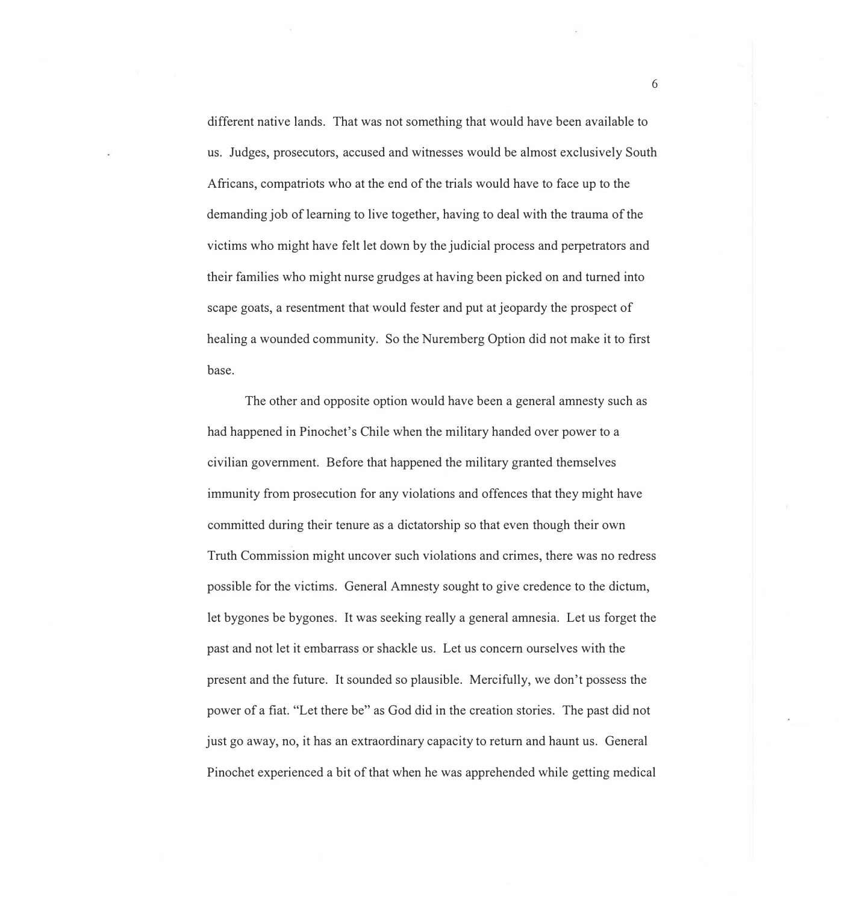different native lands. That was not something that would have been available to us. Judges, prosecutors, accused and witnesses would be almost exclusively South Africans, compatriots who at the end of the trials would have to face up to the demanding job of learning to live together, having to deal with the trauma of the victims who might have felt let down by the judicial process and perpetrators and their families who might nurse grudges at having been picked on and turned into scape goats, a resentment that would fester and put at jeopardy the prospect of healing a wounded community. So the Nuremberg Option did not make it to first base.

The other and opposite option would have been a general amnesty such as had happened in Pinochet's Chile when the military handed over power to a civilian government. Before that happened the military granted themselves immunity from prosecution for any violations and offences that they might have committed during their tenure as a dictatorship so that even though their own Truth Commission might uncover such violations and crimes, there was no redress possible for the victims. General Amnesty sought to give credence to the dictum, let bygones be bygones. It was seeking really a general amnesia. Let us forget the past and not let it embarrass or shackle us. Let us concern ourselves with the present and the future. It sounded so plausible. Mercifully, we don't possess the power of a fiat. "Let there be" as God did in the creation stories. The past did not just go away, no, it has an extraordinary capacity to return and haunt us. General Pinochet experienced a bit of that when he was apprehended while getting medical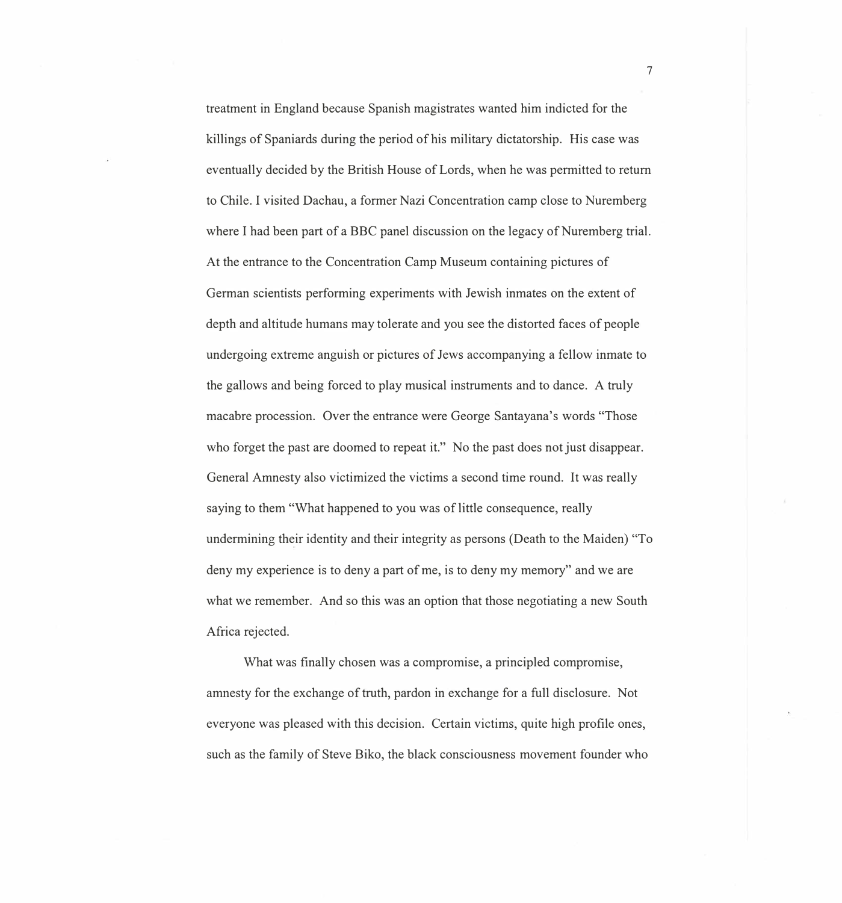treatment in England because Spanish magistrates wanted him indicted for the killings of Spaniards during the period of his military dictatorship. His case was eventually decided by the British House of Lords, when he was permitted to return to Chile. I visited Dachau, a former Nazi Concentration camp close to Nuremberg where I had been part of a BBC panel discussion on the legacy of Nuremberg trial. At the entrance to the Concentration Camp Museum containing pictures of German scientists performing experiments with Jewish inmates on the extent of depth and altitude humans may tolerate and you see the distorted faces of people undergoing extreme anguish or pictures of Jews accompanying a fellow inmate to the gallows and being forced to play musical instruments and to dance. A truly macabre procession. Over the entrance were George Santayana's words "Those who forget the past are doomed to repeat it." No the past does not just disappear. General Amnesty also victimized the victims a second time round. It was really saying to them "What happened to you was of little consequence, really undermining their identity and their integrity as persons (Death to the Maiden) "To deny my experience is to deny a part of me, is to deny my memory" and we are what we remember. And so this was an option that those negotiating a new South Africa rejected.

What was finally chosen was a compromise, a principled compromise, amnesty for the exchange of truth, pardon in exchange for a full disclosure. Not everyone was pleased with this decision. Certain victims, quite high profile ones, such as the family of Steve Biko, the black consciousness movement founder who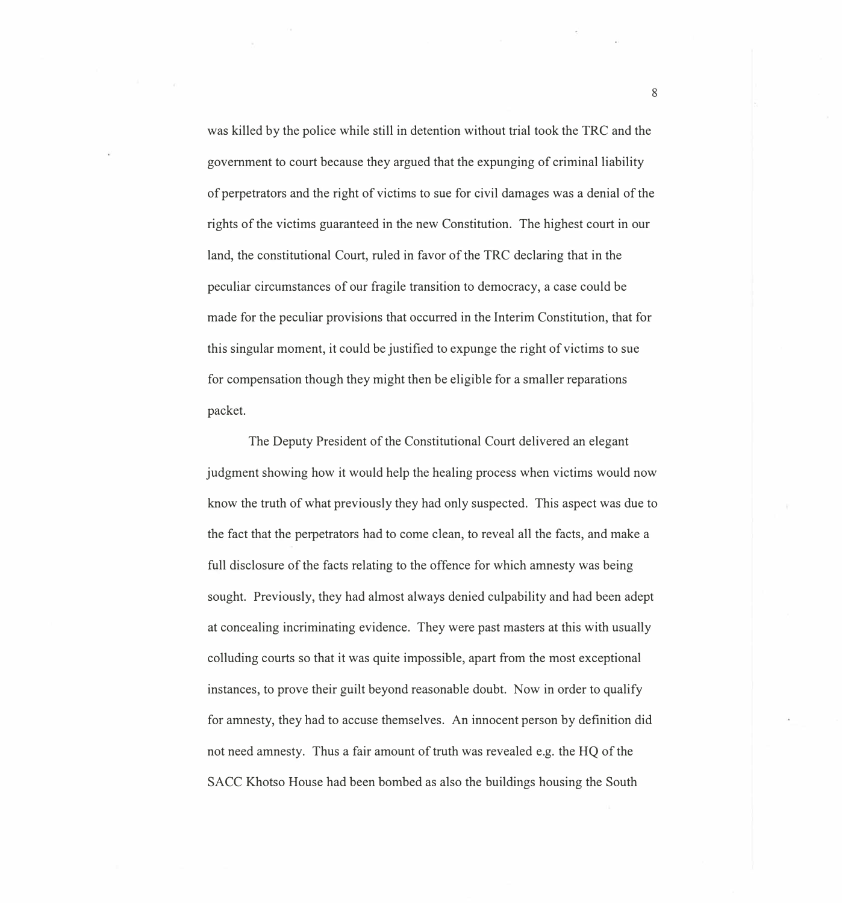was killed by the police while still in detention without trial took the TRC and the government to court because they argued that the expunging of criminal liability of perpetrators and the right of victims to sue for civil damages was a denial of the rights of the victims guaranteed in the new Constitution. The highest court in our land, the constitutional Court, ruled in favor of the TRC declaring that in the peculiar circumstances of our fragile transition to democracy, a case could be made for the peculiar provisions that occurred in the Interim Constitution, that for this singular moment, it could be justified to expunge the right of victims to sue for compensation though they might then be eligible for a smaller reparations packet.

The Deputy President of the Constitutional Court delivered an elegant judgment showing how it would help the healing process when victims would now know the truth of what previously they had only suspected. This aspect was due to the fact that the perpetrators had to come clean, to reveal all the facts, and make a full disclosure of the facts relating to the offence for which amnesty was being sought. Previously, they had almost always denied culpability and had been adept at concealing incriminating evidence. They were past masters at this with usually colluding courts so that it was quite impossible, apart from the most exceptional instances, to prove their guilt beyond reasonable doubt. Now in order to qualify for amnesty, they had to accuse themselves. An innocent person by definition did not need amnesty. Thus a fair amount of truth was revealed e.g. the HQ of the SACC Khotso House had been bombed as also the buildings housing the South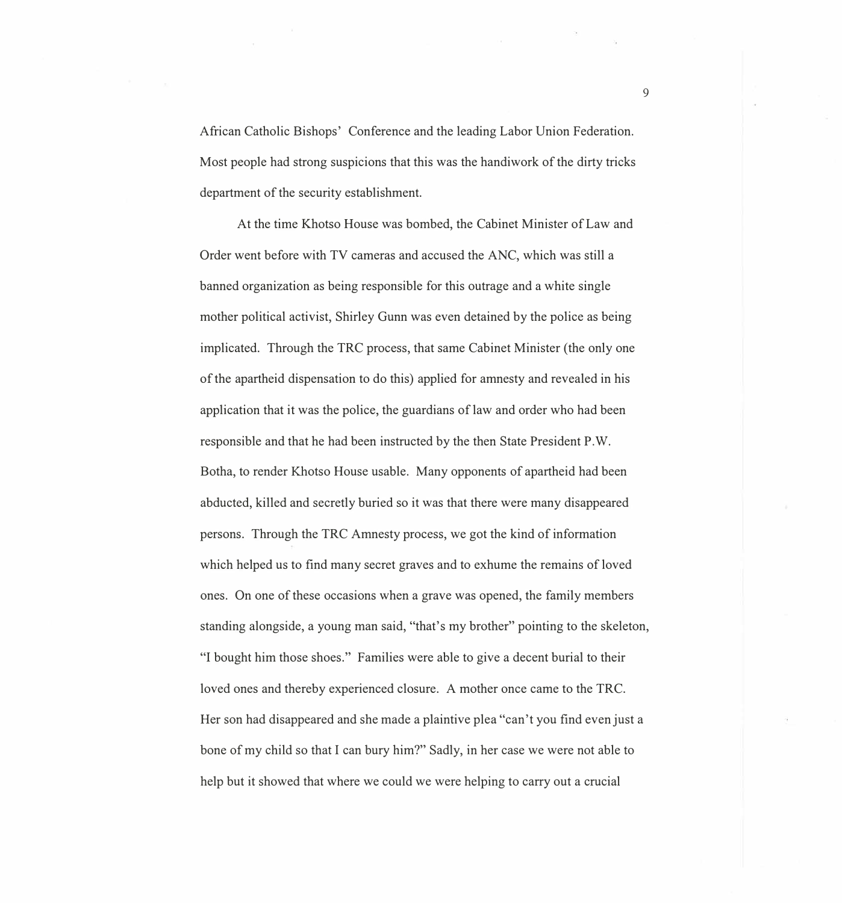African Catholic Bishops' Conference and the leading Labor Union Federation. Most people had strong suspicions that this was the handiwork of the dirty tricks department of the security establishment.

At the time Khotso House was bombed, the Cabinet Minister of Law and Order went before with TV cameras and accused the ANC, which was still a banned organization as being responsible for this outrage and a white single mother political activist, Shirley Gunn was even detained by the police as being implicated. Through the TRC process, that same Cabinet Minister (the only one of the apartheid dispensation to do this) applied for amnesty and revealed in his application that it was the police, the guardians of law and order who had been responsible and that he had been instructed by the then State President P. W. Botha, to render Khotso House usable. Many opponents of apartheid had been abducted, killed and secretly buried so it was that there were many disappeared persons. Through the TRC Amnesty process, we got the kind of information which helped us to find many secret graves and to exhume the remains of loved ones. On one of these occasions when a grave was opened, the family members standing alongside, a young man said, "that's my brother" pointing to the skeleton, "I bought him those shoes." Families were able to give a decent burial to their loved ones and thereby experienced closure. A mother once came to the TRC. Her son had disappeared and she made a plaintive plea "can't you find even just a bone of my child so that I can bury him?" Sadly, in her case we were not able to help but it showed that where we could we were helping to carry out a crucial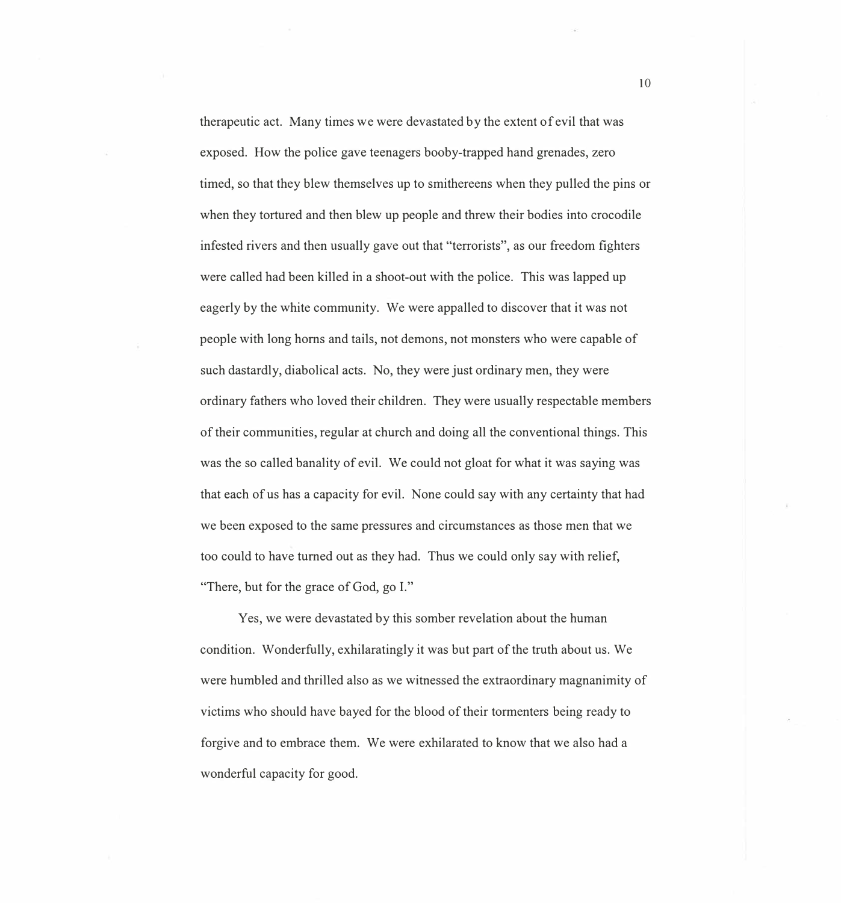therapeutic act. Many times we were devastated by the extent of evil that was exposed. How the police gave teenagers booby-trapped hand grenades, zero timed, so that they blew themselves up to smithereens when they pulled the pins or when they tortured and then blew up people and threw their bodies into crocodile infested rivers and then usually gave out that "terrorists", as our freedom fighters were called had been killed in a shoot-out with the police. This was lapped up eagerly by the white community. We were appalled to discover that it was not people with long horns and tails, not demons, not monsters who were capable of such dastardly, diabolical acts. No, they were just ordinary men, they were ordinary fathers who loved their children. They were usually respectable members of their communities, regular at church and doing all the conventional things. This was the so called banality of evil. We could not gloat for what it was saying was that each of us has a capacity for evil. None could say with any certainty that had we been exposed to the same pressures and circumstances as those men that we too could to have turned out as they had. Thus we could only say with relief, "There, but for the grace of God, go I."

Yes, we were devastated by this somber revelation about the human condition. Wonderfully, exhilaratingly it was but part of the truth about us. We were humbled and thrilled also as we witnessed the extraordinary magnanimity of victims who should have bayed for the blood of their tormenters being ready to forgive and to embrace them. We were exhilarated to know that we also had a wonderful capacity for good.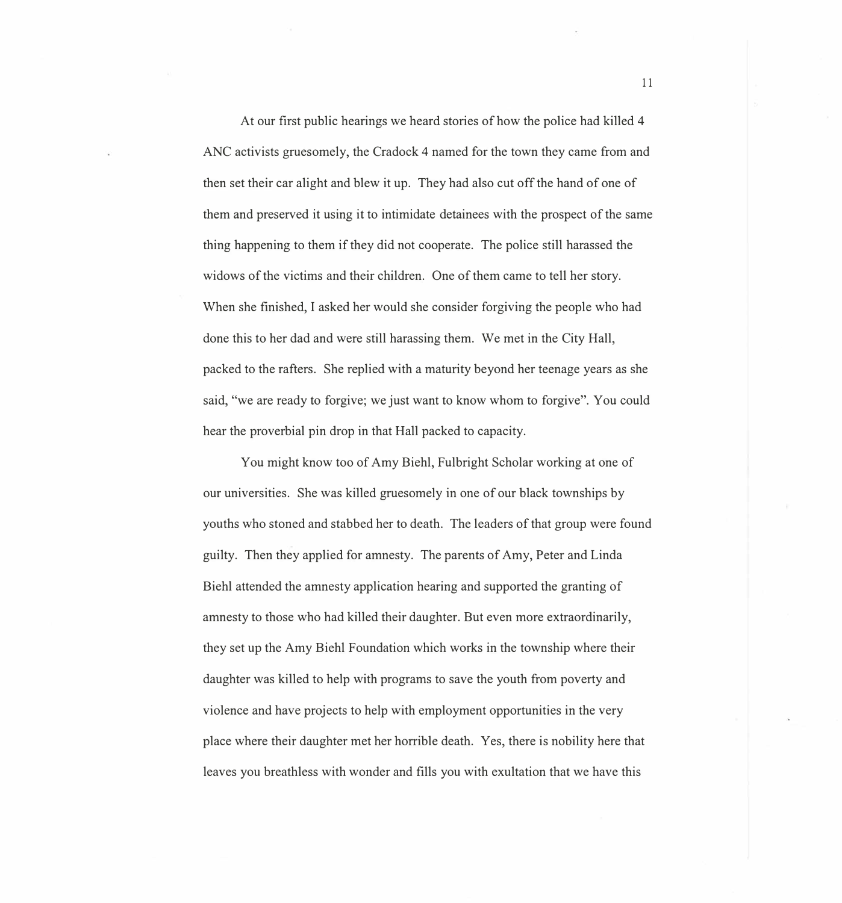At our first public hearings we heard stories of how the police had killed 4 ANC activists gruesomely, the Cradock 4 named for the town they came from and then set their car alight and blew it up. They had also cut off the hand of one of them and preserved it using it to intimidate detainees with the prospect of the same thing happening to them if they did not cooperate. The police still harassed the widows of the victims and their children. One of them came to tell her story. When she finished, I asked her would she consider forgiving the people who had done this to her dad and were still harassing them. We met in the City Hall, packed to the rafters. She replied with a maturity beyond her teenage years as she said, "we are ready to forgive; we just want to know whom to forgive". You could hear the proverbial pin drop in that Hall packed to capacity.

You might know too of Amy Biehl, Fulbright Scholar working at one of our universities. She was killed gruesomely in one of our black townships by youths who stoned and stabbed her to death. The leaders of that group were found guilty. Then they applied for amnesty. The parents of Amy, Peter and Linda Biehl attended the amnesty application hearing and supported the granting of amnesty to those who had killed their daughter. But even more extraordinarily, they set up the Amy Biehl Foundation which works in the township where their daughter was killed to help with programs to save the youth from poverty and violence and have projects to help with employment opportunities in the very place where their daughter met her horrible death. Yes, there is nobility here that leaves you breathless with wonder and fills you with exultation that we have this